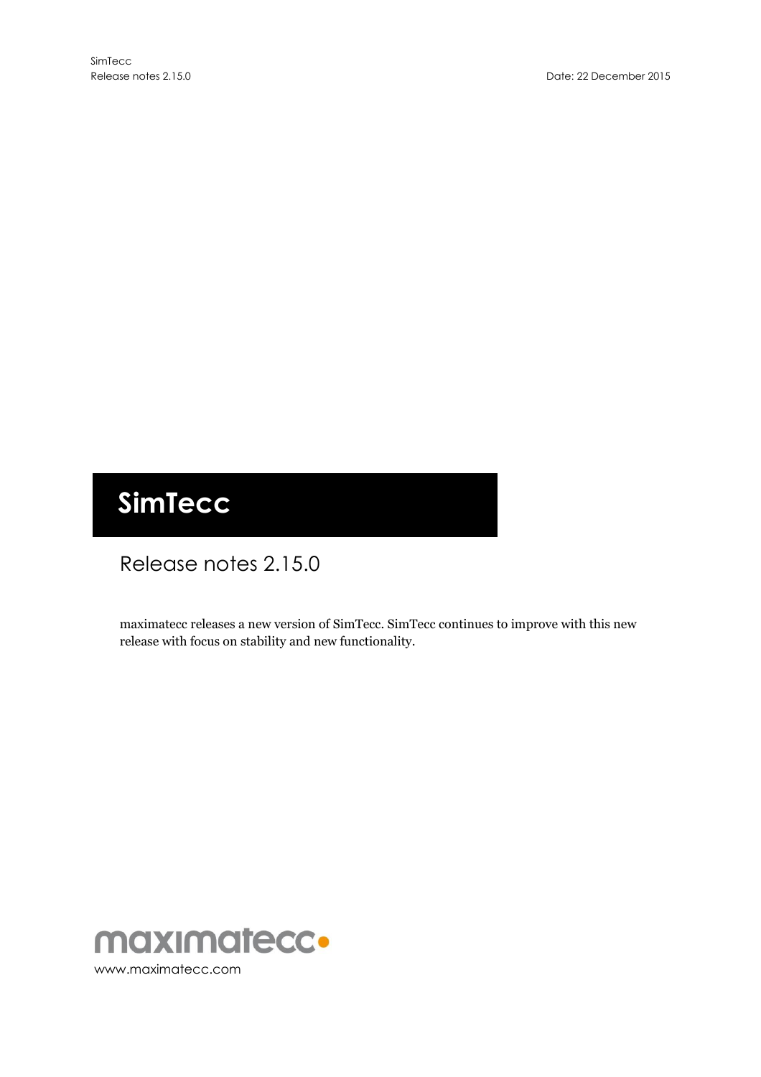# **SimTecc**

# Release notes 2.15.0

maximatecc releases a new version of SimTecc. SimTecc continues to improve with this new release with focus on stability and new functionality.

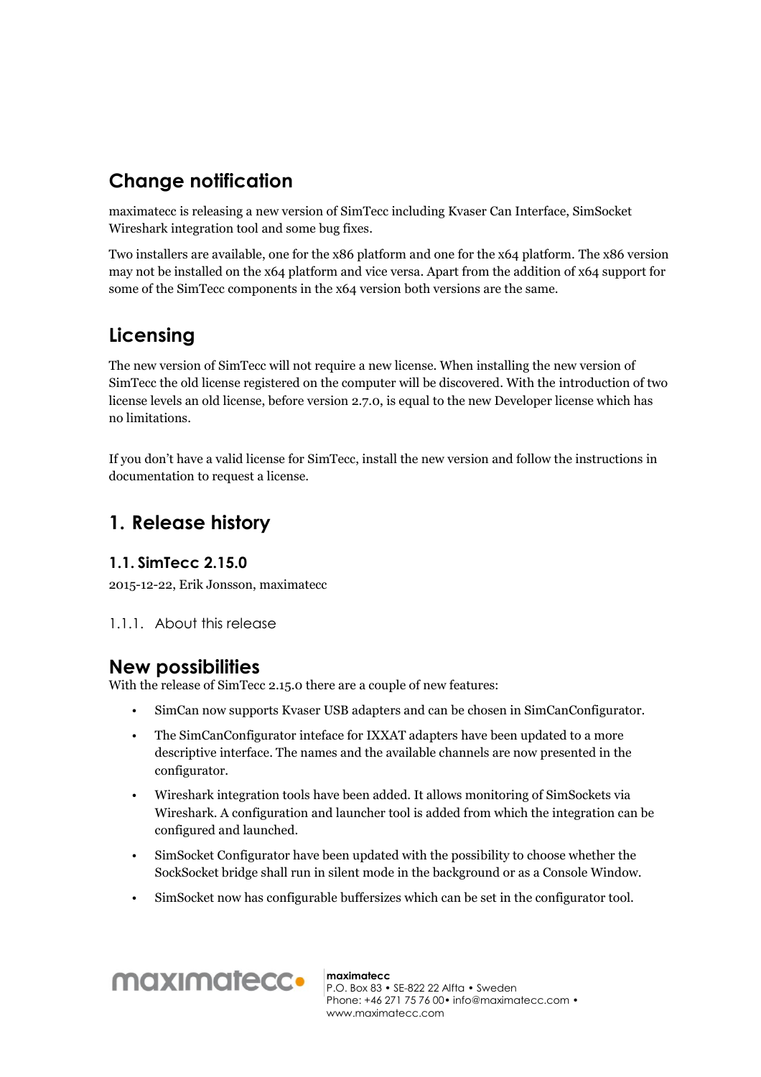# **Change notification**

maximatecc is releasing a new version of SimTecc including Kvaser Can Interface, SimSocket Wireshark integration tool and some bug fixes.

Two installers are available, one for the x86 platform and one for the x64 platform. The x86 version may not be installed on the x64 platform and vice versa. Apart from the addition of x64 support for some of the SimTecc components in the x64 version both versions are the same.

# **Licensing**

The new version of SimTecc will not require a new license. When installing the new version of SimTecc the old license registered on the computer will be discovered. With the introduction of two license levels an old license, before version 2.7.0, is equal to the new Developer license which has no limitations.

If you don't have a valid license for SimTecc, install the new version and follow the instructions in documentation to request a license.

## **1. Release history**

#### **1.1. SimTecc 2.15.0**

2015-12-22, Erik Jonsson, maximatecc

1.1.1. About this release

### **New possibilities**

With the release of SimTecc 2.15.0 there are a couple of new features:

- SimCan now supports Kvaser USB adapters and can be chosen in SimCanConfigurator.
- The SimCanConfigurator inteface for IXXAT adapters have been updated to a more descriptive interface. The names and the available channels are now presented in the configurator.
- Wireshark integration tools have been added. It allows monitoring of SimSockets via Wireshark. A configuration and launcher tool is added from which the integration can be configured and launched.
- SimSocket Configurator have been updated with the possibility to choose whether the SockSocket bridge shall run in silent mode in the background or as a Console Window.
- SimSocket now has configurable buffersizes which can be set in the configurator tool.



**maximatecc** P.O. Box 83 • SE-822 22 Alfta • Sweden Phone: +46 271 75 76 00• info@maximatecc.com • www.maximatecc.com